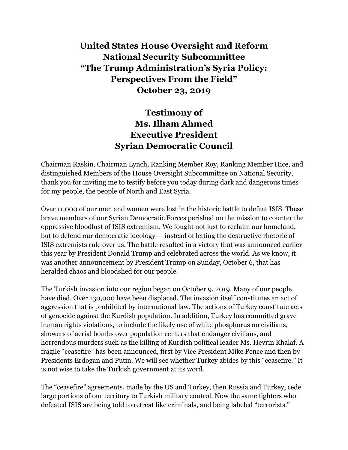## **United States House Oversight and Reform National Security Subcommittee "The Trump Administration's Syria Policy: Perspectives From the Field" October 23, 2019**

# **Testimony of Ms. Ilham Ahmed Executive President Syrian Democratic Council**

Chairman Raskin, Chairman Lynch, Ranking Member Roy, Ranking Member Hice, and distinguished Members of the House Oversight Subcommittee on National Security, thank you for inviting me to testify before you today during dark and dangerous times for my people, the people of North and East Syria.

Over 11,000 of our men and women were lost in the historic battle to defeat ISIS. These brave members of our Syrian Democratic Forces perished on the mission to counter the oppressive bloodlust of ISIS extremism. We fought not just to reclaim our homeland, but to defend our democratic ideology — instead of letting the destructive rhetoric of ISIS extremists rule over us. The battle resulted in a victory that was announced earlier this year by President Donald Trump and celebrated across the world. As we know, it was another announcement by President Trump on Sunday, October 6, that has heralded chaos and bloodshed for our people.

The Turkish invasion into our region began on October 9, 2019. Many of our people have died. Over 130,000 have been displaced. The invasion itself constitutes an act of aggression that is prohibited by international law. The actions of Turkey constitute acts of genocide against the Kurdish population. In addition, Turkey has committed grave human rights violations, to include the likely use of white phosphorus on civilians, showers of aerial bombs over population centers that endanger civilians, and horrendous murders such as the killing of Kurdish political leader Ms. Hevrin Khalaf. A fragile "ceasefire" has been announced, first by Vice President Mike Pence and then by Presidents Erdogan and Putin. We will see whether Turkey abides by this "ceasefire." It is not wise to take the Turkish government at its word.

The "ceasefire" agreements, made by the US and Turkey, then Russia and Turkey, cede large portions of our territory to Turkish military control. Now the same fighters who defeated ISIS are being told to retreat like criminals, and being labeled "terrorists."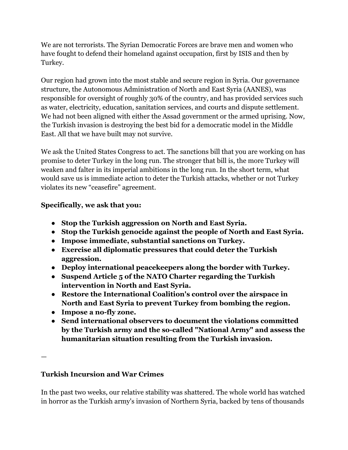We are not terrorists. The Syrian Democratic Forces are brave men and women who have fought to defend their homeland against occupation, first by ISIS and then by Turkey.

Our region had grown into the most stable and secure region in Syria. Our governance structure, the Autonomous Administration of North and East Syria (AANES), was responsible for oversight of roughly 30% of the country, and has provided services such as water, electricity, education, sanitation services, and courts and dispute settlement. We had not been aligned with either the Assad government or the armed uprising. Now, the Turkish invasion is destroying the best bid for a democratic model in the Middle East. All that we have built may not survive.

We ask the United States Congress to act. The sanctions bill that you are working on has promise to deter Turkey in the long run. The stronger that bill is, the more Turkey will weaken and falter in its imperial ambitions in the long run. In the short term, what would save us is immediate action to deter the Turkish attacks, whether or not Turkey violates its new "ceasefire" agreement.

#### **Specifically, we ask that you:**

- **Stop the Turkish aggression on North and East Syria.**
- **Stop the Turkish genocide against the people of North and East Syria.**
- **Impose immediate, substantial sanctions on Turkey.**
- **Exercise all diplomatic pressures that could deter the Turkish aggression.**
- **Deploy international peacekeepers along the border with Turkey.**
- **Suspend Article 5 of the NATO Charter regarding the Turkish intervention in North and East Syria.**
- **Restore the International Coalition's control over the airspace in North and East Syria to prevent Turkey from bombing the region.**
- **Impose a no-fly zone.**
- **Send international observers to document the violations committed by the Turkish army and the so-called "National Army" and assess the humanitarian situation resulting from the Turkish invasion.**

—

### **Turkish Incursion and War Crimes**

In the past two weeks, our relative stability was shattered. The whole world has watched in horror as the Turkish army's invasion of Northern Syria, backed by tens of thousands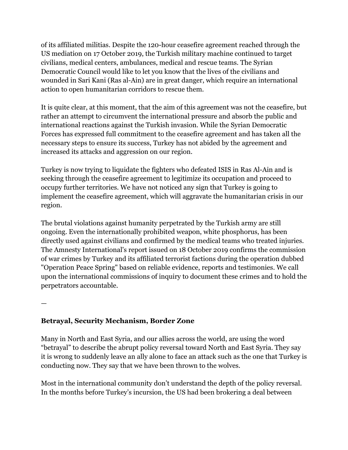of its affiliated militias. Despite the 120-hour ceasefire agreement reached through the US mediation on 17 October 2019, the Turkish military machine continued to target civilians, medical centers, ambulances, medical and rescue teams. The Syrian Democratic Council would like to let you know that the lives of the civilians and wounded in Sari Kani (Ras al-Ain) are in great danger, which require an international action to open humanitarian corridors to rescue them.

It is quite clear, at this moment, that the aim of this agreement was not the ceasefire, but rather an attempt to circumvent the international pressure and absorb the public and international reactions against the Turkish invasion. While the Syrian Democratic Forces has expressed full commitment to the ceasefire agreement and has taken all the necessary steps to ensure its success, Turkey has not abided by the agreement and increased its attacks and aggression on our region.

Turkey is now trying to liquidate the fighters who defeated ISIS in Ras Al-Ain and is seeking through the ceasefire agreement to legitimize its occupation and proceed to occupy further territories. We have not noticed any sign that Turkey is going to implement the ceasefire agreement, which will aggravate the humanitarian crisis in our region.

The brutal violations against humanity perpetrated by the Turkish army are still ongoing. Even the internationally prohibited weapon, white phosphorus, has been directly used against civilians and confirmed by the medical teams who treated injuries. The Amnesty International's report issued on 18 October 2019 confirms the commission of war crimes by Turkey and its affiliated terrorist factions during the operation dubbed "Operation Peace Spring" based on reliable evidence, reports and testimonies. We call upon the international commissions of inquiry to document these crimes and to hold the perpetrators accountable.

—

### **Betrayal, Security Mechanism, Border Zone**

Many in North and East Syria, and our allies across the world, are using the word "betrayal" to describe the abrupt policy reversal toward North and East Syria. They say it is wrong to suddenly leave an ally alone to face an attack such as the one that Turkey is conducting now. They say that we have been thrown to the wolves.

Most in the international community don't understand the depth of the policy reversal. In the months before Turkey's incursion, the US had been brokering a deal between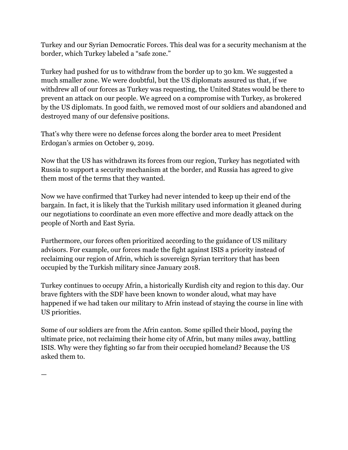Turkey and our Syrian Democratic Forces. This deal was for a security mechanism at the border, which Turkey labeled a "safe zone."

Turkey had pushed for us to withdraw from the border up to 30 km. We suggested a much smaller zone. We were doubtful, but the US diplomats assured us that, if we withdrew all of our forces as Turkey was requesting, the United States would be there to prevent an attack on our people. We agreed on a compromise with Turkey, as brokered by the US diplomats. In good faith, we removed most of our soldiers and abandoned and destroyed many of our defensive positions.

That's why there were no defense forces along the border area to meet President Erdogan's armies on October 9, 2019.

Now that the US has withdrawn its forces from our region, Turkey has negotiated with Russia to support a security mechanism at the border, and Russia has agreed to give them most of the terms that they wanted.

Now we have confirmed that Turkey had never intended to keep up their end of the bargain. In fact, it is likely that the Turkish military used information it gleaned during our negotiations to coordinate an even more effective and more deadly attack on the people of North and East Syria.

Furthermore, our forces often prioritized according to the guidance of US military advisors. For example, our forces made the fight against ISIS a priority instead of reclaiming our region of Afrin, which is sovereign Syrian territory that has been occupied by the Turkish military since January 2018.

Turkey continues to occupy Afrin, a historically Kurdish city and region to this day. Our brave fighters with the SDF have been known to wonder aloud, what may have happened if we had taken our military to Afrin instead of staying the course in line with US priorities.

Some of our soldiers are from the Afrin canton. Some spilled their blood, paying the ultimate price, not reclaiming their home city of Afrin, but many miles away, battling ISIS. Why were they fighting so far from their occupied homeland? Because the US asked them to.

—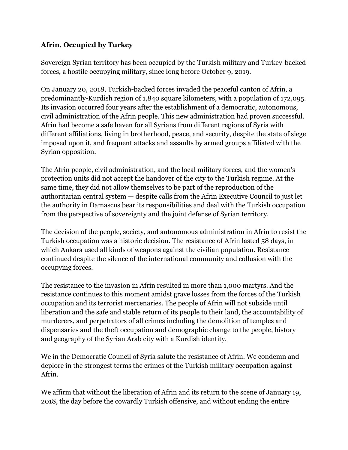#### **Afrin, Occupied by Turkey**

Sovereign Syrian territory has been occupied by the Turkish military and Turkey-backed forces, a hostile occupying military, since long before October 9, 2019.

On January 20, 2018, Turkish-backed forces invaded the peaceful canton of Afrin, a predominantly-Kurdish region of 1,840 square kilometers, with a population of 172,095. Its invasion occurred four years after the establishment of a democratic, autonomous, civil administration of the Afrin people. This new administration had proven successful. Afrin had become a safe haven for all Syrians from different regions of Syria with different affiliations, living in brotherhood, peace, and security, despite the state of siege imposed upon it, and frequent attacks and assaults by armed groups affiliated with the Syrian opposition.

The Afrin people, civil administration, and the local military forces, and the women's protection units did not accept the handover of the city to the Turkish regime. At the same time, they did not allow themselves to be part of the reproduction of the authoritarian central system — despite calls from the Afrin Executive Council to just let the authority in Damascus bear its responsibilities and deal with the Turkish occupation from the perspective of sovereignty and the joint defense of Syrian territory.

The decision of the people, society, and autonomous administration in Afrin to resist the Turkish occupation was a historic decision. The resistance of Afrin lasted 58 days, in which Ankara used all kinds of weapons against the civilian population. Resistance continued despite the silence of the international community and collusion with the occupying forces.

The resistance to the invasion in Afrin resulted in more than 1,000 martyrs. And the resistance continues to this moment amidst grave losses from the forces of the Turkish occupation and its terrorist mercenaries. The people of Afrin will not subside until liberation and the safe and stable return of its people to their land, the accountability of murderers, and perpetrators of all crimes including the demolition of temples and dispensaries and the theft occupation and demographic change to the people, history and geography of the Syrian Arab city with a Kurdish identity.

We in the Democratic Council of Syria salute the resistance of Afrin. We condemn and deplore in the strongest terms the crimes of the Turkish military occupation against Afrin.

We affirm that without the liberation of Afrin and its return to the scene of January 19, 2018, the day before the cowardly Turkish offensive, and without ending the entire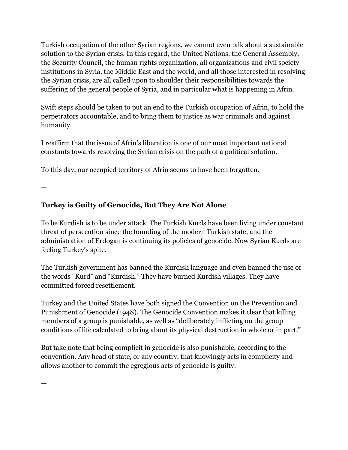Turkish occupation of the other Syrian regions, we cannot even talk about a sustainable solution to the Syrian crisis. In this regard, the United Nations, the General Assembly, the Security Council, the human rights organization, all organizations and civil society institutions in Syria, the Middle East and the world, and all those interested in resolving the Syrian crisis, are all called upon to shoulder their responsibilities towards the suffering of the general people of Syria, and in particular what is happening in Afrin.

Swift steps should be taken to put an end to the Turkish occupation of Afrin, to hold the perpetrators accountable, and to bring them to justice as war criminals and against humanity.

I reaffirm that the issue of Afrin's liberation is one of our most important national constants towards resolving the Syrian crisis on the path of a political solution.

To this day, our occupied territory of Afrin seems to have been forgotten.

—

—

### **Turkey is Guilty of Genocide, But They Are Not Alone**

To be Kurdish is to be under attack. The Turkish Kurds have been living under constant threat of persecution since the founding of the modern Turkish state, and the administration of Erdogan is continuing its policies of genocide. Now Syrian Kurds are feeling Turkey's spite.

The Turkish government has banned the Kurdish language and even banned the use of the words "Kurd" and "Kurdish." They have burned Kurdish villages. They have committed forced resettlement.

Turkey and the United States have both signed the Convention on the Prevention and Punishment of Genocide (1948). The Genocide Convention makes it clear that killing members of a group is punishable, as well as "deliberately inflicting on the group conditions of life calculated to bring about its physical destruction in whole or in part."

But take note that being complicit in genocide is also punishable, according to the convention. Any head of state, or any country, that knowingly acts in complicity and allows another to commit the egregious acts of genocide is guilty.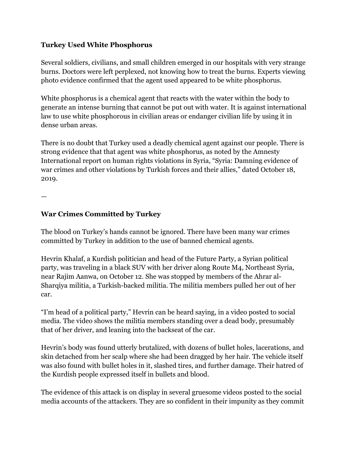#### **Turkey Used White Phosphorus**

Several soldiers, civilians, and small children emerged in our hospitals with very strange burns. Doctors were left perplexed, not knowing how to treat the burns. Experts viewing photo evidence confirmed that the agent used appeared to be white phosphorus.

White phosphorus is a chemical agent that reacts with the water within the body to generate an intense burning that cannot be put out with water. It is against international law to use white phosphorous in civilian areas or endanger civilian life by using it in dense urban areas.

There is no doubt that Turkey used a deadly chemical agent against our people. There is strong evidence that that agent was white phosphorus, as noted by the Amnesty International report on human rights violations in Syria, "Syria: Damning evidence of war crimes and other violations by Turkish forces and their allies," dated October 18, 2019.

—

#### **War Crimes Committed by Turkey**

The blood on Turkey's hands cannot be ignored. There have been many war crimes committed by Turkey in addition to the use of banned chemical agents.

Hevrin Khalaf, a Kurdish politician and head of the Future Party, a Syrian political party, was traveling in a black SUV with her driver along Route M4, Northeast Syria, near Rajim Aanwa, on October 12. She was stopped by members of the Ahrar al-Sharqiya militia, a Turkish-backed militia. The militia members pulled her out of her car.

"I'm head of a political party," Hevrin can be heard saying, in a video posted to social media. The video shows the militia members standing over a dead body, presumably that of her driver, and leaning into the backseat of the car.

Hevrin's body was found utterly brutalized, with dozens of bullet holes, lacerations, and skin detached from her scalp where she had been dragged by her hair. The vehicle itself was also found with bullet holes in it, slashed tires, and further damage. Their hatred of the Kurdish people expressed itself in bullets and blood.

The evidence of this attack is on display in several gruesome videos posted to the social media accounts of the attackers. They are so confident in their impunity as they commit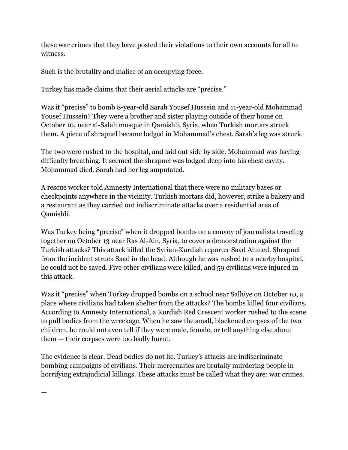these war crimes that they have posted their violations to their own accounts for all to witness.

Such is the brutality and malice of an occupying force.

Turkey has made claims that their aerial attacks are "precise."

Was it "precise" to bomb 8-year-old Sarah Yousef Hussein and 11-year-old Mohammad Yousef Hussein? They were a brother and sister playing outside of their home on October 10, near al-Salah mosque in Qamishli, Syria, when Turkish mortars struck them. A piece of shrapnel became lodged in Mohammad's chest. Sarah's leg was struck.

The two were rushed to the hospital, and laid out side by side. Mohammad was having difficulty breathing. It seemed the shrapnel was lodged deep into his chest cavity. Mohammad died. Sarah had her leg amputated.

A rescue worker told Amnesty International that there were no military bases or checkpoints anywhere in the vicinity. Turkish mortars did, however, strike a bakery and a restaurant as they carried out indiscriminate attacks over a residential area of Qamishli.

Was Turkey being "precise" when it dropped bombs on a convoy of journalists traveling together on October 13 near Ras Al-Ain, Syria, to cover a demonstration against the Turkish attacks? This attack killed the Syrian-Kurdish reporter Saad Ahmed. Shrapnel from the incident struck Saad in the head. Although he was rushed to a nearby hospital, he could not be saved. Five other civilians were killed, and 59 civilians were injured in this attack.

Was it "precise" when Turkey dropped bombs on a school near Salhiye on October 10, a place where civilians had taken shelter from the attacks? The bombs killed four civilians. According to Amnesty International, a Kurdish Red Crescent worker rushed to the scene to pull bodies from the wreckage. When he saw the small, blackened corpses of the two children, he could not even tell if they were male, female, or tell anything else about them — their corpses were too badly burnt.

The evidence is clear. Dead bodies do not lie. Turkey's attacks are indiscriminate bombing campaigns of civilians. Their mercenaries are brutally murdering people in horrifying extrajudicial killings. These attacks must be called what they are: war crimes.

—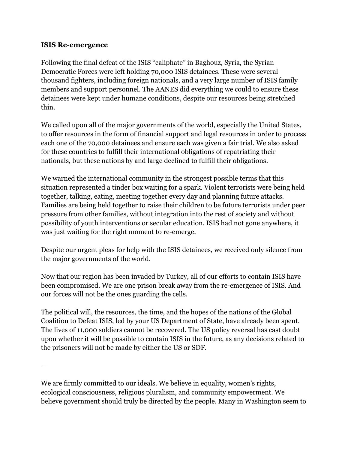#### **ISIS Re-emergence**

Following the final defeat of the ISIS "caliphate" in Baghouz, Syria, the Syrian Democratic Forces were left holding 70,000 ISIS detainees. These were several thousand fighters, including foreign nationals, and a very large number of ISIS family members and support personnel. The AANES did everything we could to ensure these detainees were kept under humane conditions, despite our resources being stretched thin.

We called upon all of the major governments of the world, especially the United States, to offer resources in the form of financial support and legal resources in order to process each one of the 70,000 detainees and ensure each was given a fair trial. We also asked for these countries to fulfill their international obligations of repatriating their nationals, but these nations by and large declined to fulfill their obligations.

We warned the international community in the strongest possible terms that this situation represented a tinder box waiting for a spark. Violent terrorists were being held together, talking, eating, meeting together every day and planning future attacks. Families are being held together to raise their children to be future terrorists under peer pressure from other families, without integration into the rest of society and without possibility of youth interventions or secular education. ISIS had not gone anywhere, it was just waiting for the right moment to re-emerge.

Despite our urgent pleas for help with the ISIS detainees, we received only silence from the major governments of the world.

Now that our region has been invaded by Turkey, all of our efforts to contain ISIS have been compromised. We are one prison break away from the re-emergence of ISIS. And our forces will not be the ones guarding the cells.

The political will, the resources, the time, and the hopes of the nations of the Global Coalition to Defeat ISIS, led by your US Department of State, have already been spent. The lives of 11,000 soldiers cannot be recovered. The US policy reversal has cast doubt upon whether it will be possible to contain ISIS in the future, as any decisions related to the prisoners will not be made by either the US or SDF.

—

We are firmly committed to our ideals. We believe in equality, women's rights, ecological consciousness, religious pluralism, and community empowerment. We believe government should truly be directed by the people. Many in Washington seem to